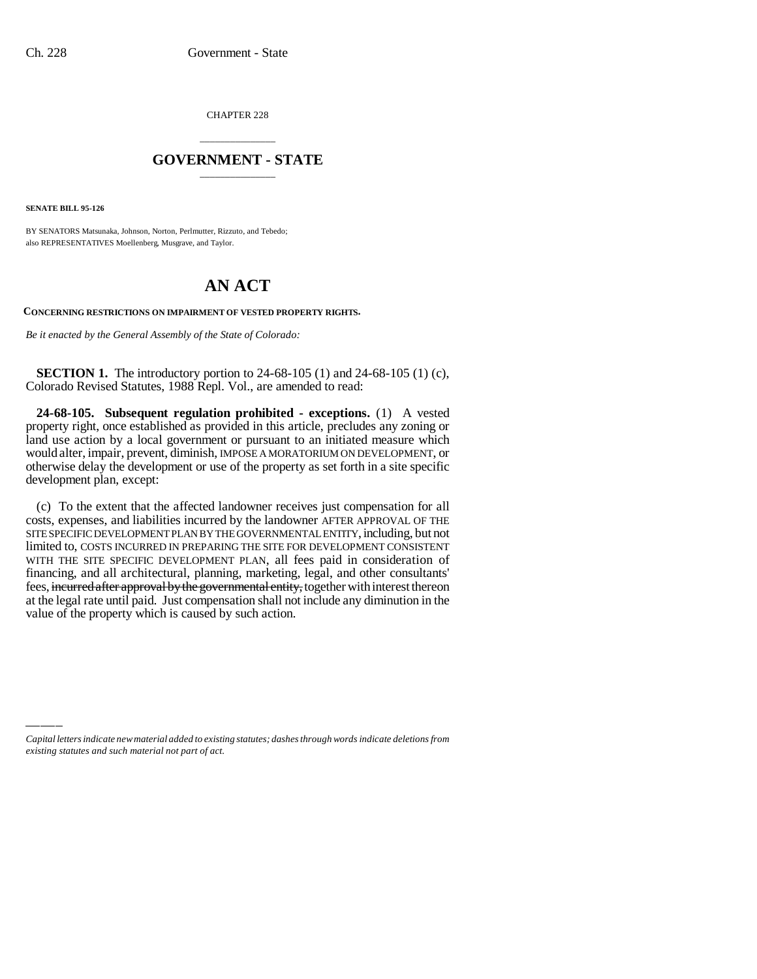CHAPTER 228

## \_\_\_\_\_\_\_\_\_\_\_\_\_\_\_ **GOVERNMENT - STATE** \_\_\_\_\_\_\_\_\_\_\_\_\_\_\_

**SENATE BILL 95-126**

BY SENATORS Matsunaka, Johnson, Norton, Perlmutter, Rizzuto, and Tebedo; also REPRESENTATIVES Moellenberg, Musgrave, and Taylor.

## **AN ACT**

## **CONCERNING RESTRICTIONS ON IMPAIRMENT OF VESTED PROPERTY RIGHTS.**

*Be it enacted by the General Assembly of the State of Colorado:*

**SECTION 1.** The introductory portion to 24-68-105 (1) and 24-68-105 (1) (c), Colorado Revised Statutes, 1988 Repl. Vol., are amended to read:

**24-68-105. Subsequent regulation prohibited - exceptions.** (1) A vested property right, once established as provided in this article, precludes any zoning or land use action by a local government or pursuant to an initiated measure which would alter, impair, prevent, diminish, IMPOSE A MORATORIUM ON DEVELOPMENT, or otherwise delay the development or use of the property as set forth in a site specific development plan, except:

(c) To the extent that the affected landowner receives just compensation for all costs, expenses, and liabilities incurred by the landowner AFTER APPROVAL OF THE SITE SPECIFIC DEVELOPMENT PLAN BY THE GOVERNMENTAL ENTITY, including, but not limited to, COSTS INCURRED IN PREPARING THE SITE FOR DEVELOPMENT CONSISTENT WITH THE SITE SPECIFIC DEVELOPMENT PLAN, all fees paid in consideration of financing, and all architectural, planning, marketing, legal, and other consultants' fees, incurred after approval by the governmental entity, together with interest thereon at the legal rate until paid. Just compensation shall not include any diminution in the value of the property which is caused by such action.

*Capital letters indicate new material added to existing statutes; dashes through words indicate deletions from existing statutes and such material not part of act.*